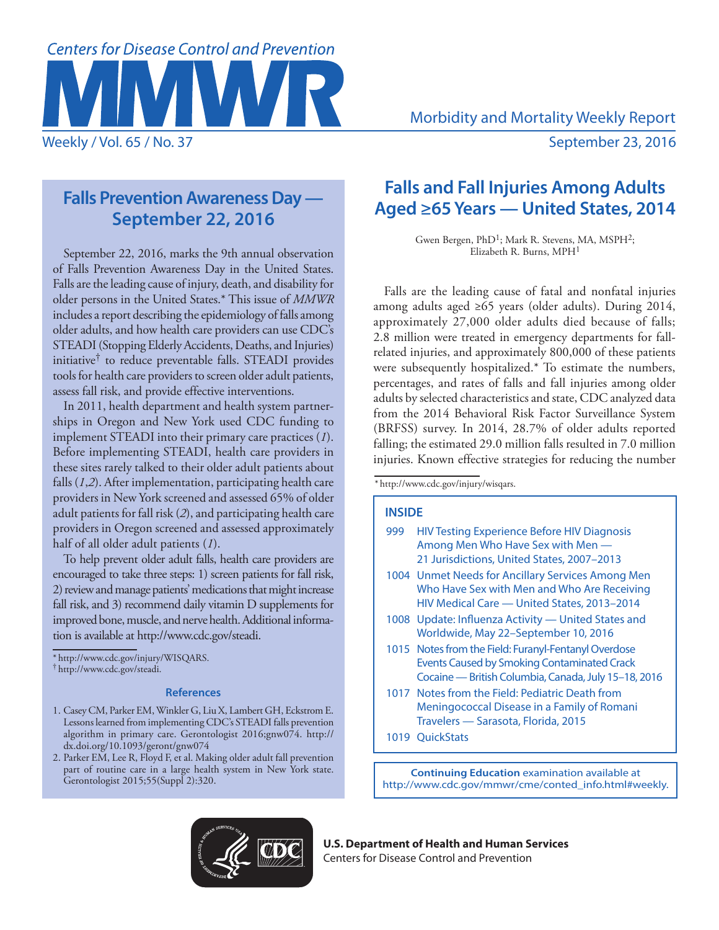

# **Falls Prevention Awareness Day — September 22, 2016**

September 22, 2016, marks the 9th annual observation of Falls Prevention Awareness Day in the United States. Falls are the leading cause of injury, death, and disability for older persons in the United States.\* This issue of *MMWR* includes a report describing the epidemiology of falls among older adults, and how health care providers can use CDC's STEADI (Stopping Elderly Accidents, Deaths, and Injuries) initiative† to reduce preventable falls. STEADI provides tools for health care providers to screen older adult patients, assess fall risk, and provide effective interventions.

In 2011, health department and health system partnerships in Oregon and New York used CDC funding to implement STEADI into their primary care practices (*1*). Before implementing STEADI, health care providers in these sites rarely talked to their older adult patients about falls (*1*,*2*). After implementation, participating health care providers in New York screened and assessed 65% of older adult patients for fall risk (*2*), and participating health care providers in Oregon screened and assessed approximately half of all older adult patients (*1*).

To help prevent older adult falls, health care providers are encouraged to take three steps: 1) screen patients for fall risk, 2) review and manage patients' medications that might increase fall risk, and 3) recommend daily vitamin D supplements for improved bone, muscle, and nerve health. Additional information is available at [http://www.cdc.gov/steadi.](http://www.cdc.gov/steadi)

\* <http://www.cdc.gov/injury/WISQARS>. † [http://www.cdc.gov/steadi.](http://www.cdc.gov/steadi)

# **References**

- 1. Casey CM, Parker EM, Winkler G, Liu X, Lambert GH, Eckstrom E. Lessons learned from implementing CDC's STEADI falls prevention algorithm in primary care. Gerontologist 2016;gnw074. [http://](http://dx.doi.org/10.1093/geront/gnw074) [dx.doi.org/10.1093/geront/gnw074](http://dx.doi.org/10.1093/geront/gnw074)
- 2. Parker EM, Lee R, Floyd F, et al. Making older adult fall prevention part of routine care in a large health system in New York state. Gerontologist 2015;55(Suppl 2):320.

# **Falls and Fall Injuries Among Adults Aged ≥65 Years — United States, 2014**

Gwen Bergen, PhD<sup>1</sup>; Mark R. Stevens, MA, MSPH<sup>2</sup>; Elizabeth R. Burns, MPH<sup>1</sup>

Falls are the leading cause of fatal and nonfatal injuries among adults aged ≥65 years (older adults). During 2014, approximately 27,000 older adults died because of falls; 2.8 million were treated in emergency departments for fallrelated injuries, and approximately 800,000 of these patients were subsequently hospitalized.\* To estimate the numbers, percentages, and rates of falls and fall injuries among older adults by selected characteristics and state, CDC analyzed data from the 2014 Behavioral Risk Factor Surveillance System (BRFSS) survey. In 2014, 28.7% of older adults reported falling; the estimated 29.0 million falls resulted in 7.0 million injuries. Known effective strategies for reducing the number

\* <http://www.cdc.gov/injury/wisqars>.

## **INSIDE**

- 999 HIV Testing Experience Before HIV Diagnosis Among Men Who Have Sex with Men — 21 Jurisdictions, United States, 2007–2013
- 1004 Unmet Needs for Ancillary Services Among Men Who Have Sex with Men and Who Are Receiving HIV Medical Care — United States, 2013–2014
- 1008 Update: Influenza Activity United States and Worldwide, May 22–September 10, 2016
- 1015 Notes from the Field: Furanyl-Fentanyl Overdose Events Caused by Smoking Contaminated Crack Cocaine — British Columbia, Canada, July 15–18, 2016
- 1017 Notes from the Field: Pediatric Death from Meningococcal Disease in a Family of Romani Travelers — Sarasota, Florida, 2015
- 1019 QuickStats

**Continuing Education** examination available at http://www.cdc.gov/mmwr/cme/conted\_info.html#weekly.



**U.S. Department of Health and Human Services** Centers for Disease Control and Prevention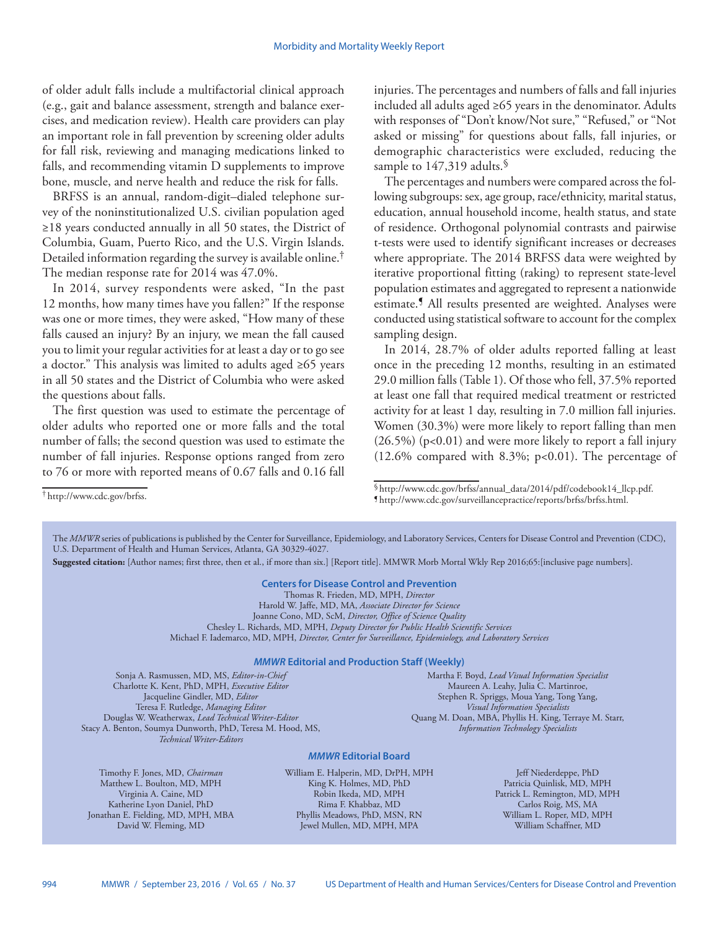of older adult falls include a multifactorial clinical approach (e.g., gait and balance assessment, strength and balance exercises, and medication review). Health care providers can play an important role in fall prevention by screening older adults for fall risk, reviewing and managing medications linked to falls, and recommending vitamin D supplements to improve bone, muscle, and nerve health and reduce the risk for falls.

BRFSS is an annual, random-digit–dialed telephone survey of the noninstitutionalized U.S. civilian population aged ≥18 years conducted annually in all 50 states, the District of Columbia, Guam, Puerto Rico, and the U.S. Virgin Islands. Detailed information regarding the survey is available online.† The median response rate for 2014 was 47.0%.

In 2014, survey respondents were asked, "In the past 12 months, how many times have you fallen?" If the response was one or more times, they were asked, "How many of these falls caused an injury? By an injury, we mean the fall caused you to limit your regular activities for at least a day or to go see a doctor." This analysis was limited to adults aged ≥65 years in all 50 states and the District of Columbia who were asked the questions about falls.

The first question was used to estimate the percentage of older adults who reported one or more falls and the total number of falls; the second question was used to estimate the number of fall injuries. Response options ranged from zero to 76 or more with reported means of 0.67 falls and 0.16 fall

injuries. The percentages and numbers of falls and fall injuries included all adults aged ≥65 years in the denominator. Adults with responses of "Don't know/Not sure," "Refused," or "Not asked or missing" for questions about falls, fall injuries, or demographic characteristics were excluded, reducing the sample to 147,319 adults.<sup>§</sup>

The percentages and numbers were compared across the following subgroups: sex, age group, race/ethnicity, marital status, education, annual household income, health status, and state of residence. Orthogonal polynomial contrasts and pairwise t-tests were used to identify significant increases or decreases where appropriate. The 2014 BRFSS data were weighted by iterative proportional fitting (raking) to represent state-level population estimates and aggregated to represent a nationwide estimate.¶ All results presented are weighted. Analyses were conducted using statistical software to account for the complex sampling design.

In 2014, 28.7% of older adults reported falling at least once in the preceding 12 months, resulting in an estimated 29.0 million falls (Table 1). Of those who fell, 37.5% reported at least one fall that required medical treatment or restricted activity for at least 1 day, resulting in 7.0 million fall injuries. Women (30.3%) were more likely to report falling than men  $(26.5\%)$  (p<0.01) and were more likely to report a fall injury  $(12.6\%$  compared with 8.3%; p<0.01). The percentage of

§[http://www.cdc.gov/brfss/annual\\_data/2014/pdf/codebook14\\_llcp.pdf.](http://www.cdc.gov/brfss/annual_data/2014/pdf/codebook14_llcp.pdf) ¶ <http://www.cdc.gov/surveillancepractice/reports/brfss/brfss.html>.

The *MMWR* series of publications is published by the Center for Surveillance, Epidemiology, and Laboratory Services, Centers for Disease Control and Prevention (CDC), U.S. Department of Health and Human Services, Atlanta, GA 30329-4027.

**Suggested citation:** [Author names; first three, then et al., if more than six.] [Report title]. MMWR Morb Mortal Wkly Rep 2016;65:[inclusive page numbers].

# **Centers for Disease Control and Prevention**

Thomas R. Frieden, MD, MPH, *Director* Harold W. Jaffe, MD, MA, *Associate Director for Science* Joanne Cono, MD, ScM, *Director, Office of Science Quality*  Chesley L. Richards, MD, MPH, *Deputy Director for Public Health Scientific Services* Michael F. Iademarco, MD, MPH, *Director, Center for Surveillance, Epidemiology, and Laboratory Services*

#### *MMWR* **Editorial and Production Staff (Weekly)**

Sonja A. Rasmussen, MD, MS, *Editor-in-Chief* Charlotte K. Kent, PhD, MPH, *Executive Editor* Jacqueline Gindler, MD, *Editor* Teresa F. Rutledge, *Managing Editor* Douglas W. Weatherwax, *Lead Technical Writer-Editor* Stacy A. Benton, Soumya Dunworth, PhD, Teresa M. Hood, MS, *Technical Writer-Editors*

Martha F. Boyd, *Lead Visual Information Specialist* Maureen A. Leahy, Julia C. Martinroe, Stephen R. Spriggs, Moua Yang, Tong Yang, *Visual Information Specialists* Quang M. Doan, MBA, Phyllis H. King, Terraye M. Starr, *Information Technology Specialists*

#### *MMWR* **Editorial Board**

Timothy F. Jones, MD, *Chairman* Matthew L. Boulton, MD, MPH Virginia A. Caine, MD Katherine Lyon Daniel, PhD Jonathan E. Fielding, MD, MPH, MBA David W. Fleming, MD

William E. Halperin, MD, DrPH, MPH King K. Holmes, MD, PhD Robin Ikeda, MD, MPH Rima F. Khabbaz, MD Phyllis Meadows, PhD, MSN, RN Jewel Mullen, MD, MPH, MPA

Jeff Niederdeppe, PhD Patricia Quinlisk, MD, MPH Patrick L. Remington, MD, MPH Carlos Roig, MS, MA William L. Roper, MD, MPH William Schaffner, MD

<sup>†</sup> [http://www.cdc.gov/brfss.](http://www.cdc.gov/brfss)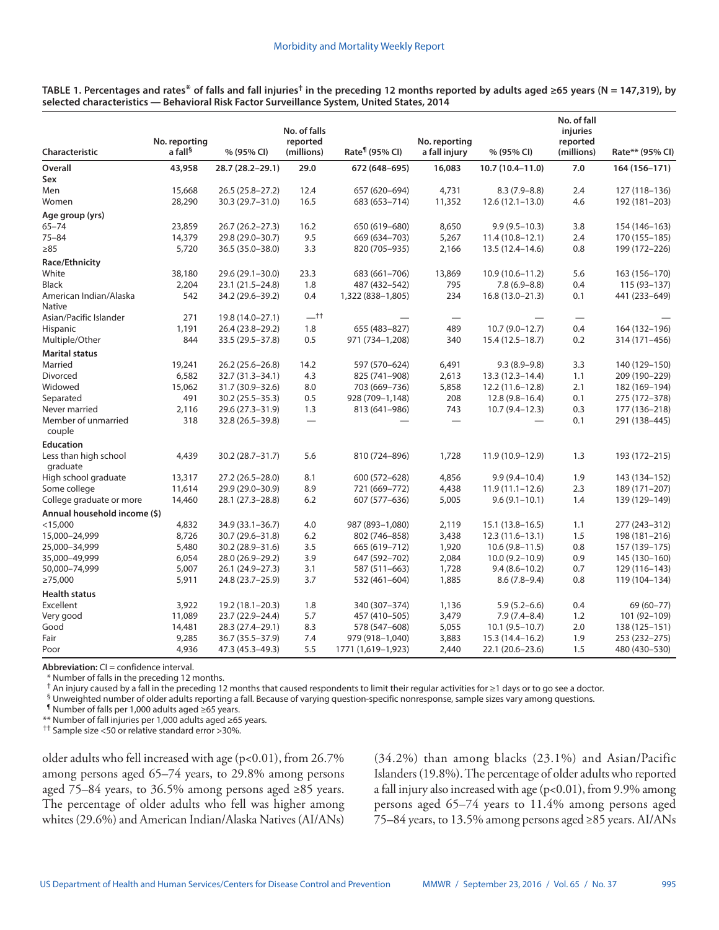| <b>Characteristic</b>             | No. reporting       |                    | No. of falls<br>reported<br>(millions) | Rate <sup>¶</sup> (95% CI) | No. reporting<br>a fall injury |                     | No. of fall<br>injuries<br>reported<br>(millions) | Rate** (95% CI) |
|-----------------------------------|---------------------|--------------------|----------------------------------------|----------------------------|--------------------------------|---------------------|---------------------------------------------------|-----------------|
|                                   | a fall <sup>§</sup> | % (95% CI)         |                                        |                            |                                | % (95% CI)          |                                                   |                 |
| Overall                           | 43,958              | 28.7 (28.2-29.1)   | 29.0                                   | 672 (648-695)              | 16,083                         | $10.7(10.4 - 11.0)$ | 7.0                                               | 164 (156-171)   |
| Sex                               |                     |                    |                                        |                            |                                |                     |                                                   |                 |
| Men                               | 15,668              | $26.5(25.8-27.2)$  | 12.4                                   | 657 (620-694)              | 4,731                          | $8.3(7.9 - 8.8)$    | 2.4                                               | 127 (118-136)   |
| Women                             | 28,290              | 30.3 (29.7-31.0)   | 16.5                                   | 683 (653-714)              | 11,352                         | $12.6(12.1-13.0)$   | 4.6                                               | 192 (181-203)   |
| Age group (yrs)                   |                     |                    |                                        |                            |                                |                     |                                                   |                 |
| $65 - 74$                         | 23,859              | 26.7 (26.2-27.3)   | 16.2                                   | 650 (619-680)              | 8,650                          | $9.9(9.5 - 10.3)$   | 3.8                                               | 154 (146-163)   |
| $75 - 84$                         | 14,379              | 29.8 (29.0-30.7)   | 9.5                                    | 669 (634-703)              | 5,267                          | $11.4(10.8-12.1)$   | 2.4                                               | 170 (155-185)   |
| $\geq 85$                         | 5,720               | 36.5 (35.0-38.0)   | 3.3                                    | 820 (705-935)              | 2,166                          | 13.5 (12.4–14.6)    | 0.8                                               | 199 (172-226)   |
| Race/Ethnicity                    |                     |                    |                                        |                            |                                |                     |                                                   |                 |
| White                             | 38,180              | 29.6 (29.1-30.0)   | 23.3                                   | 683 (661-706)              | 13,869                         | $10.9(10.6 - 11.2)$ | 5.6                                               | 163 (156-170)   |
| Black                             | 2,204               | 23.1 (21.5 - 24.8) | 1.8                                    | 487 (432–542)              | 795                            | $7.8(6.9 - 8.8)$    | 0.4                                               | $115(93 - 137)$ |
| American Indian/Alaska            | 542                 | 34.2 (29.6-39.2)   | 0.4                                    | 1,322 (838-1,805)          | 234                            | $16.8(13.0 - 21.3)$ | 0.1                                               | 441 (233-649)   |
| <b>Native</b>                     |                     |                    |                                        |                            |                                |                     |                                                   |                 |
| Asian/Pacific Islander            | 271                 | 19.8 (14.0-27.1)   | $-$ tt                                 |                            |                                |                     |                                                   |                 |
| <b>Hispanic</b>                   | 1,191               | 26.4 (23.8-29.2)   | 1.8                                    | 655 (483-827)              | 489                            | $10.7(9.0-12.7)$    | 0.4                                               | 164 (132-196)   |
| Multiple/Other                    | 844                 | 33.5 (29.5-37.8)   | 0.5                                    | 971 (734-1,208)            | 340                            | $15.4(12.5 - 18.7)$ | 0.2                                               | 314 (171-456)   |
| <b>Marital status</b>             |                     |                    |                                        |                            |                                |                     |                                                   |                 |
| Married                           | 19,241              | 26.2 (25.6-26.8)   | 14.2                                   | 597 (570-624)              | 6,491                          | $9.3(8.9-9.8)$      | 3.3                                               | 140 (129-150)   |
| Divorced                          | 6,582               | 32.7 (31.3-34.1)   | 4.3                                    | 825 (741-908)              | 2,613                          | 13.3 (12.3-14.4)    | 1.1                                               | 209 (190-229)   |
| Widowed                           | 15,062              | 31.7 (30.9 - 32.6) | 8.0                                    | 703 (669-736)              | 5,858                          | $12.2(11.6 - 12.8)$ | 2.1                                               | 182 (169-194)   |
| Separated                         | 491                 | 30.2 (25.5 - 35.3) | 0.5                                    | 928 (709-1,148)            | 208                            | $12.8(9.8-16.4)$    | 0.1                                               | 275 (172-378)   |
| Never married                     | 2,116               | 29.6 (27.3-31.9)   | 1.3                                    | 813 (641-986)              | 743                            | $10.7(9.4 - 12.3)$  | 0.3                                               | 177 (136-218)   |
| Member of unmarried<br>couple     | 318                 | 32.8 (26.5-39.8)   | $\overline{\phantom{m}}$               |                            |                                |                     | 0.1                                               | 291 (138-445)   |
| <b>Education</b>                  |                     |                    |                                        |                            |                                |                     |                                                   |                 |
| Less than high school<br>graduate | 4,439               | 30.2 (28.7-31.7)   | 5.6                                    | 810 (724-896)              | 1,728                          | 11.9 (10.9-12.9)    | 1.3                                               | 193 (172-215)   |
| High school graduate              | 13,317              | 27.2 (26.5-28.0)   | 8.1                                    | 600 (572-628)              | 4,856                          | $9.9(9.4 - 10.4)$   | 1.9                                               | 143 (134-152)   |
| Some college                      | 11,614              | 29.9 (29.0-30.9)   | 8.9                                    | 721 (669-772)              | 4,438                          | $11.9(11.1 - 12.6)$ | 2.3                                               | 189 (171-207)   |
| College graduate or more          | 14,460              | 28.1 (27.3-28.8)   | 6.2                                    | 607 (577-636)              | 5,005                          | $9.6(9.1-10.1)$     | 1.4                                               | 139 (129-149)   |
| Annual household income (\$)      |                     |                    |                                        |                            |                                |                     |                                                   |                 |
| $<$ 15,000                        | 4,832               | 34.9 (33.1-36.7)   | 4.0                                    | 987 (893-1,080)            | 2,119                          | $15.1(13.8 - 16.5)$ | 1.1                                               | 277 (243-312)   |
| 15,000-24,999                     | 8,726               | 30.7 (29.6-31.8)   | 6.2                                    | 802 (746-858)              | 3,438                          | $12.3(11.6 - 13.1)$ | 1.5                                               | 198 (181-216)   |
| 25,000-34,999                     | 5,480               | 30.2 (28.9 - 31.6) | 3.5                                    | 665 (619-712)              | 1,920                          | $10.6(9.8 - 11.5)$  | 0.8                                               | 157 (139-175)   |
| 35,000-49,999                     | 6,054               | 28.0 (26.9-29.2)   | 3.9                                    | 647 (592-702)              | 2,084                          | $10.0(9.2 - 10.9)$  | 0.9                                               | 145 (130-160)   |
| 50,000-74,999                     | 5,007               | 26.1 (24.9-27.3)   | 3.1                                    | 587 (511-663)              | 1,728                          | $9.4(8.6 - 10.2)$   | 0.7                                               | 129 (116-143)   |
| $\geq 75,000$                     | 5,911               | 24.8 (23.7 - 25.9) | 3.7                                    | 532 (461-604)              | 1,885                          | $8.6(7.8-9.4)$      | 0.8                                               | 119 (104-134)   |
| <b>Health status</b>              |                     |                    |                                        |                            |                                |                     |                                                   |                 |
| Excellent                         | 3,922               | 19.2 (18.1-20.3)   | 1.8                                    | 340 (307-374)              | 1,136                          | $5.9(5.2 - 6.6)$    | 0.4                                               | 69 (60-77)      |
| Very good                         | 11,089              | 23.7 (22.9-24.4)   | 5.7                                    | 457 (410-505)              | 3,479                          | $7.9(7.4 - 8.4)$    | 1.2                                               | 101 (92-109)    |
| Good                              | 14,481              | 28.3 (27.4-29.1)   | 8.3                                    | 578 (547-608)              | 5,055                          | $10.1 (9.5 - 10.7)$ | 2.0                                               | 138 (125-151)   |
| Fair                              | 9,285               | 36.7 (35.5-37.9)   | 7.4                                    | 979 (918-1,040)            | 3,883                          | 15.3 (14.4-16.2)    | 1.9                                               | 253 (232-275)   |
| Poor                              | 4,936               | 47.3 (45.3-49.3)   | 5.5                                    | 1771 (1,619-1,923)         | 2,440                          | 22.1 (20.6-23.6)    | 1.5                                               | 480 (430-530)   |

**TABLE 1. Percentages and rates**\* **of falls and fall injuries† in the preceding 12 months reported by adults aged ≥65 years (N = 147,319), by selected characteristics — Behavioral Risk Factor Surveillance System, United States, 2014**

**Abbreviation:** CI = confidence interval.

\* Number of falls in the preceding 12 months.

† An injury caused by a fall in the preceding 12 months that caused respondents to limit their regular activities for ≥1 days or to go see a doctor.

§ Unweighted number of older adults reporting a fall. Because of varying question-specific nonresponse, sample sizes vary among questions.

¶ Number of falls per 1,000 adults aged ≥65 years.

\*\* Number of fall injuries per 1,000 adults aged ≥65 years.

†† Sample size <50 or relative standard error >30%.

older adults who fell increased with age  $(p<0.01)$ , from 26.7% among persons aged 65–74 years, to 29.8% among persons aged 75–84 years, to 36.5% among persons aged ≥85 years. The percentage of older adults who fell was higher among whites (29.6%) and American Indian/Alaska Natives (AI/ANs) (34.2%) than among blacks (23.1%) and Asian/Pacific Islanders (19.8%). The percentage of older adults who reported a fall injury also increased with age  $(p<0.01)$ , from 9.9% among persons aged 65–74 years to 11.4% among persons aged 75–84 years, to 13.5% among persons aged ≥85 years. AI/ANs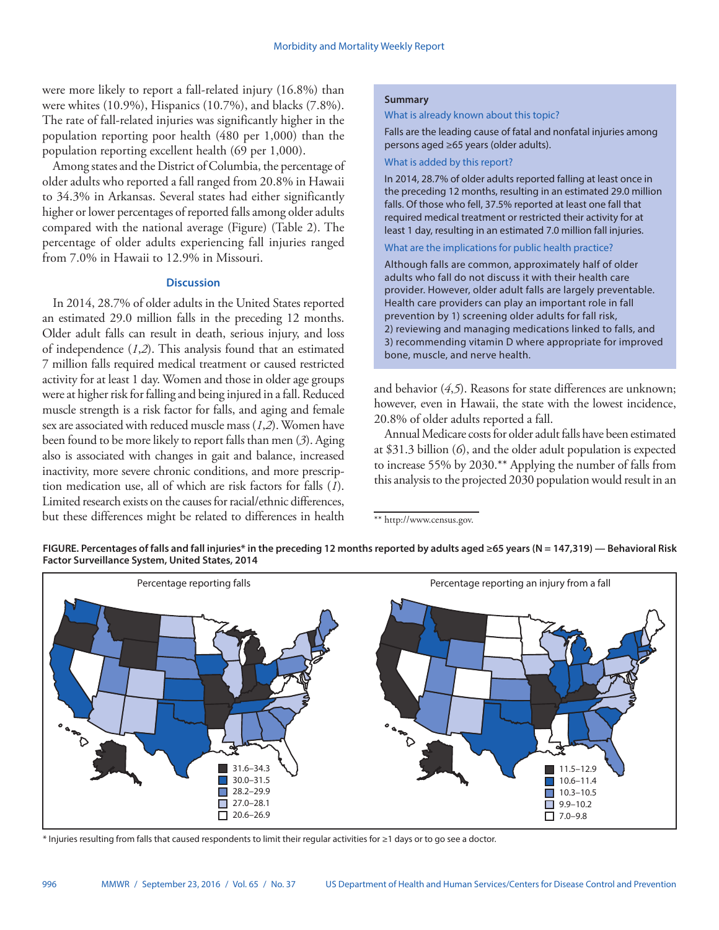were more likely to report a fall-related injury (16.8%) than were whites (10.9%), Hispanics (10.7%), and blacks (7.8%). The rate of fall-related injuries was significantly higher in the population reporting poor health (480 per 1,000) than the population reporting excellent health (69 per 1,000).

Among states and the District of Columbia, the percentage of older adults who reported a fall ranged from 20.8% in Hawaii to 34.3% in Arkansas. Several states had either significantly higher or lower percentages of reported falls among older adults compared with the national average (Figure) (Table 2). The percentage of older adults experiencing fall injuries ranged from 7.0% in Hawaii to 12.9% in Missouri.

### **Discussion**

In 2014, 28.7% of older adults in the United States reported an estimated 29.0 million falls in the preceding 12 months. Older adult falls can result in death, serious injury, and loss of independence (*1*,*2*). This analysis found that an estimated 7 million falls required medical treatment or caused restricted activity for at least 1 day. Women and those in older age groups were at higher risk for falling and being injured in a fall. Reduced muscle strength is a risk factor for falls, and aging and female sex are associated with reduced muscle mass (*1*,*2*). Women have been found to be more likely to report falls than men (*3*). Aging also is associated with changes in gait and balance, increased inactivity, more severe chronic conditions, and more prescription medication use, all of which are risk factors for falls (*1*). Limited research exists on the causes for racial/ethnic differences, but these differences might be related to differences in health

### **Summary**

What is already known about this topic?

Falls are the leading cause of fatal and nonfatal injuries among persons aged ≥65 years (older adults).

### What is added by this report?

In 2014, 28.7% of older adults reported falling at least once in the preceding 12 months, resulting in an estimated 29.0 million falls. Of those who fell, 37.5% reported at least one fall that required medical treatment or restricted their activity for at least 1 day, resulting in an estimated 7.0 million fall injuries.

#### What are the implications for public health practice?

Although falls are common, approximately half of older adults who fall do not discuss it with their health care provider. However, older adult falls are largely preventable. Health care providers can play an important role in fall prevention by 1) screening older adults for fall risk, 2) reviewing and managing medications linked to falls, and 3) recommending vitamin D where appropriate for improved bone, muscle, and nerve health.

and behavior (*4*,*5*). Reasons for state differences are unknown; however, even in Hawaii, the state with the lowest incidence, 20.8% of older adults reported a fall.

Annual Medicare costs for older adult falls have been estimated at \$31.3 billion (*6*), and the older adult population is expected to increase 55% by 2030.\*\* Applying the number of falls from this analysis to the projected 2030 population would result in an

<sup>\*\*</sup><http://www.census.gov>.





\* Injuries resulting from falls that caused respondents to limit their regular activities for ≥1 days or to go see a doctor.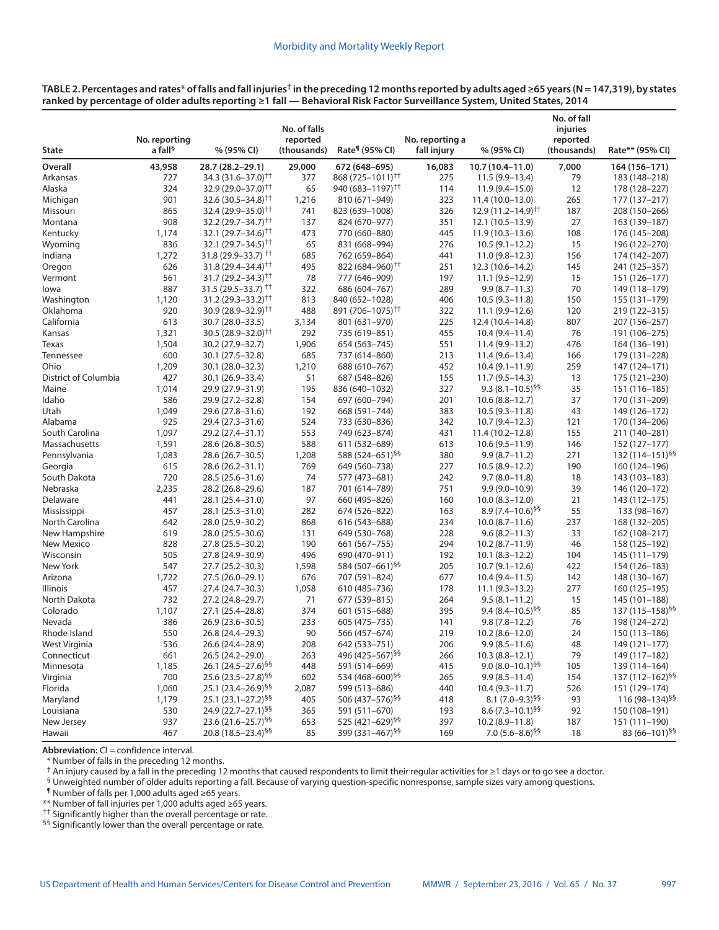| TABLE 2. Percentages and rates* of falls and fall injuries <sup>†</sup> in the preceding 12 months reported by adults aged ≥65 years (N = 147,319), by states |  |
|---------------------------------------------------------------------------------------------------------------------------------------------------------------|--|
| ranked by percentage of older adults reporting ≥1 fall — Behavioral Risk Factor Surveillance System, United States, 2014                                      |  |

| <b>State</b>         | No. reporting<br>a fall <sup>§</sup> | % (95% CI)                                                       | No. of falls<br>reported<br>(thousands) | Rate <sup>¶</sup> (95% CI)        | No. reporting a<br>fall injury | % (95% CI)                                   | No. of fall<br>injuries<br>reported<br>(thousands) | Rate** (95% CI)                             |
|----------------------|--------------------------------------|------------------------------------------------------------------|-----------------------------------------|-----------------------------------|--------------------------------|----------------------------------------------|----------------------------------------------------|---------------------------------------------|
| Overall              | 43,958                               | 28.7 (28.2-29.1)                                                 | 29,000                                  | 672 (648-695)                     | 16,083                         | 10.7 (10.4-11.0)                             | 7,000                                              | 164 (156-171)                               |
| Arkansas             | 727                                  | 34.3 (31.6–37.0) <sup>††</sup>                                   | 377                                     | 868 (725-1011) <sup>††</sup>      | 275                            | $11.5(9.9 - 13.4)$                           | 79                                                 | 183 (148–218)                               |
| Alaska               | 324                                  | 32.9 (29.0-37.0) <sup>††</sup>                                   | 65                                      | 940 (683–1197) <sup>††</sup>      | 114                            | $11.9(9.4 - 15.0)$                           | 12                                                 | 178 (128–227)                               |
| Michigan             | 901                                  | 32.6 $(30.5 - 34.8)$ <sup>++</sup>                               | 1,216                                   | 810 (671-949)                     | 323                            | $11.4(10.0-13.0)$                            | 265                                                | 177 (137-217)                               |
| Missouri             | 865                                  | 32.4 (29.9-35.0) <sup>††</sup>                                   | 741                                     | 823 (639-1008)                    | 326                            | $12.9(11.2 - 14.9)$ <sup>††</sup>            | 187                                                | 208 (150-266)                               |
| Montana              | 908                                  | $32.2(29.7 - 34.7)^{+}$                                          | 137                                     | 824 (670-977)                     | 351                            | 12.1 (10.5-13.9)                             | 27                                                 | 163 (139-187)                               |
| Kentucky             | 1,174                                | 32.1 (29.7-34.6) <sup>††</sup>                                   | 473                                     | 770 (660-880)                     | 445                            | $11.9(10.3-13.6)$                            | 108                                                | 176 (145-208)                               |
| Wyoming              | 836                                  | 32.1 $(29.7 - 34.5)$ <sup>++</sup>                               | 65                                      | 831 (668-994)                     | 276                            | $10.5(9.1-12.2)$                             | 15                                                 | 196 (122-270)                               |
| Indiana              | 1,272                                | 31.8 (29.9-33.7) <sup>††</sup>                                   | 685                                     | 762 (659-864)                     | 441                            | $11.0(9.8-12.3)$                             | 156                                                | 174 (142-207)                               |
| Oregon               | 626                                  | $31.8(29.4 - 34.4)^{++}$                                         | 495                                     | 822 (684-960) <sup>11</sup>       | 251                            | $12.3(10.6 - 14.2)$                          | 145                                                | 241 (125-357)                               |
| Vermont              | 561                                  | 31.7 (29.2-34.3) <sup>++</sup>                                   | 78                                      | 777 (646-909)                     | 197                            | $11.1(9.5-12.9)$                             | 15                                                 | 151 (126–177)                               |
| lowa                 | 887                                  | $31.5(29.5 - 33.7)$ <sup>++</sup>                                | 322                                     | 686 (604-767)                     | 289                            | $9.9(8.7 - 11.3)$                            | 70                                                 | 149 (118–179)                               |
| Washington           | 1,120                                | $31.2 (29.3 - 33.2)$ <sup>++</sup>                               | 813                                     | 840 (652-1028)                    | 406                            | $10.5(9.3 - 11.8)$                           | 150                                                | 155 (131–179)                               |
| Oklahoma             | 920                                  | $30.9(28.9 - 32.9)^{+}$                                          | 488                                     | 891 (706-1075) <sup>††</sup>      | 322                            | $11.1(9.9-12.6)$                             | 120                                                | 219 (122-315)                               |
| California           | 613                                  | 30.7 (28.0-33.5)                                                 | 3,134                                   | 801 (631-970)                     | 225                            | 12.4 (10.4-14.8)                             | 807                                                | 207 (156-257)                               |
| Kansas               | 1,321                                | $30.5(28.9 - 32.0)$ <sup>††</sup>                                | 292                                     | 735 (619-851)                     | 455                            | $10.4(9.4 - 11.4)$                           | 76                                                 | 191 (106-275)                               |
| Texas                | 1,504                                | 30.2 (27.9-32.7)                                                 | 1,906                                   | 654 (563-745)                     | 551                            | 11.4 (9.9-13.2)                              | 476                                                | 164 (136-191)                               |
| Tennessee            | 600                                  | 30.1 (27.5 - 32.8)                                               | 685                                     | 737 (614-860)                     | 213                            | $11.4(9.6 - 13.4)$                           | 166                                                | 179 (131–228)                               |
| Ohio                 | 1,209                                | 30.1 (28.0-32.3)                                                 | 1,210                                   | 688 (610-767)                     | 452                            | $10.4(9.1-11.9)$                             | 259                                                | 147 (124-171)                               |
| District of Columbia | 427                                  | 30.1 (26.9-33.4)                                                 | 51                                      | 687 (548-826)                     | 155                            | $11.7(9.5-14.3)$                             | 13                                                 | 175 (121-230)                               |
| Maine                | 1,014                                | 29.9 (27.9-31.9)                                                 | 195                                     | 836 (640-1032)                    | 327                            | 9.3 $(8.1 - 10.5)^{55}$                      | 35                                                 | 151 (116–185)                               |
| Idaho                | 586                                  | 29.9 (27.2-32.8)                                                 | 154                                     | 697 (600-794)                     | 201                            | $10.6(8.8-12.7)$                             | 37                                                 | 170 (131-209)                               |
| Utah                 | 1,049                                | 29.6 (27.8-31.6)                                                 | 192                                     | 668 (591-744)                     | 383                            | $10.5(9.3 - 11.8)$                           | 43                                                 | 149 (126-172)                               |
| Alabama              | 925                                  | 29.4 (27.3-31.6)                                                 | 524                                     | 733 (630-836)                     | 342                            | $10.7(9.4-12.3)$                             | 121                                                | 170 (134-206)                               |
| South Carolina       | 1,097                                | 29.2 (27.4-31.1)                                                 | 553                                     | 749 (623-874)                     | 431                            | $11.4(10.2 - 12.8)$                          | 155                                                | 211 (140-281)                               |
| Massachusetts        | 1,591                                | 28.6 (26.8-30.5)                                                 | 588                                     | 611 (532-689)                     | 613                            | $10.6(9.5-11.9)$                             | 146                                                | 152 (127-177)                               |
| Pennsylvania         | 1,083                                | 28.6 (26.7-30.5)                                                 | 1,208                                   | 588 (524-651) <sup>§§</sup>       | 380                            | $9.9(8.7 - 11.2)$                            | 271                                                | 132 (114-151) <sup>§§</sup>                 |
| Georgia              | 615                                  | 28.6 (26.2-31.1)                                                 | 769                                     | 649 (560-738)                     | 227                            | $10.5(8.9-12.2)$                             | 190                                                | 160 (124-196)                               |
| South Dakota         | 720                                  | 28.5 (25.6-31.6)                                                 | 74                                      | 577 (473-681)                     | 242                            | $9.7(8.0-11.8)$                              | 18                                                 | 143 (103-183)                               |
| Nebraska             | 2,235                                | 28.2 (26.8-29.6)                                                 | 187                                     | 701 (614-789)                     | 751                            | $9.9(9.0-10.9)$                              | 39                                                 | 146 (120-172)                               |
| Delaware             | 441                                  | 28.1 (25.4-31.0)                                                 | 97                                      | 660 (495-826)                     | 160                            | $10.0 (8.3 - 12.0)$                          | 21                                                 | 143 (112–175)                               |
| Mississippi          | 457                                  | 28.1 (25.3-31.0)                                                 | 282                                     | 674 (526-822)                     | 163                            | $8.9(7.4 - 10.6)^{95}$                       | 55                                                 | 133 (98-167)                                |
| North Carolina       | 642                                  | 28.0 (25.9-30.2)                                                 | 868                                     | 616 (543-688)                     | 234                            | $10.0 (8.7 - 11.6)$                          | 237                                                | 168 (132-205)                               |
| New Hampshire        | 619                                  | 28.0 (25.5-30.6)                                                 | 131                                     | 649 (530-768)                     | 228                            | $9.6(8.2 - 11.3)$                            | 33                                                 | 162 (108-217)                               |
| New Mexico           | 828                                  | 27.8 (25.5 - 30.2)                                               | 190                                     | 661 (567-755)                     | 294                            | $10.2 (8.7 - 11.9)$                          | 46                                                 | 158 (125-192)                               |
| Wisconsin            | 505                                  | 27.8 (24.9-30.9)                                                 | 496                                     | 690 (470-911)                     | 192                            | $10.1 (8.3 - 12.2)$                          | 104                                                | 145 (111-179)                               |
| New York             | 547                                  | 27.7 (25.2-30.3)                                                 | 1,598                                   | 584 (507-661) <sup>§§</sup>       | 205                            | $10.7(9.1 - 12.6)$                           | 422                                                | 154 (126–183)                               |
| Arizona              | 1,722                                | 27.5 (26.0-29.1)                                                 | 676                                     | 707 (591-824)                     | 677                            | $10.4(9.4 - 11.5)$                           | 142                                                | 148 (130-167)                               |
| <b>Illinois</b>      | 457                                  | 27.4 (24.7-30.3)                                                 | 1,058                                   | 610 (485-736)                     | 178                            | $11.1 (9.3 - 13.2)$                          | 277                                                | 160 (125-195)                               |
| North Dakota         | 732                                  | 27.2 (24.8-29.7)                                                 | 71                                      | 677 (539-815)                     | 264                            | $9.5(8.1 - 11.2)$                            | 15                                                 | 145 (101-188)                               |
| Colorado             | 1,107                                | 27.1 (25.4-28.8)                                                 | 374                                     | 601 (515-688)                     | 395                            | 9.4 $(8.4 - 10.5)^{55}$                      | 85                                                 | 137 (115–158) <sup>§§</sup>                 |
| Nevada               | 386                                  | 26.9 (23.6-30.5)                                                 | 233                                     | 605 (475 - 735)                   | 141                            | $9.8(7.8 - 12.2)$                            | 76                                                 | 198 (124-272)                               |
| Rhode Island         | 550                                  | 26.8 (24.4-29.3)                                                 | 90                                      | 566 (457-674)                     | 219                            | $10.2(8.6 - 12.0)$                           | 24                                                 |                                             |
| West Virginia        | 536                                  | 26.6 (24.4-28.9)                                                 | 208                                     | 642 (533-751)                     | 206                            | $9.9(8.5 - 11.6)$                            | 48                                                 | 150 (113-186)<br>149 (121-177)              |
| Connecticut          | 661                                  | 26.5 (24.2-29.0)                                                 | 263                                     | 496 (425-567) <sup>§§</sup>       | 266                            | $10.3(8.8-12.1)$                             | 79                                                 | 149 (117-182)                               |
| Minnesota            |                                      | 26.1 (24.5-27.6) <sup>§§</sup>                                   |                                         | 591 (514-669)                     | 415                            | 9.0 $(8.0 - 10.1)^{55}$                      |                                                    | 139 (114-164)                               |
|                      | 1,185                                |                                                                  | 448                                     | 534 (468-600) <sup>§§</sup>       |                                | $9.9(8.5 - 11.4)$                            | 105                                                |                                             |
| Virginia<br>Florida  | 700                                  | 25.6 (23.5-27.8) <sup>§§</sup><br>25.1 (23.4-26.9) <sup>§§</sup> | 602                                     |                                   | 265                            |                                              | 154                                                | 137 (112-162) <sup>§§</sup>                 |
| Maryland             | 1,060                                | 25.1 (23.1-27.2) <sup>§§</sup>                                   | 2,087<br>405                            | 599 (513-686)<br>506 (437-576) 59 | 440<br>418                     | $10.4(9.3 - 11.7)$<br>$8.1 (7.0 - 9.3)^{55}$ | 526                                                | 151 (129-174)<br>116 (98-134) <sup>§§</sup> |
| Louisiana            | 1,179<br>530                         | 24.9 (22.7-27.1) §§                                              |                                         | 591 (511-670)                     | 193                            | $8.6 (7.3 - 10.1)^{55}$                      | 93                                                 | 150 (108-191)                               |
|                      |                                      | 23.6 (21.6–25.7) <sup>§§</sup>                                   | 365                                     | 525 (421-629) <sup>§§</sup>       |                                | $10.2(8.9 - 11.8)$                           | 92                                                 |                                             |
| New Jersey<br>Hawaii | 937<br>467                           | 20.8 (18.5-23.4) §§                                              | 653<br>85                               | 399 (331-467) <sup>§§</sup>       | 397<br>169                     | 7.0 $(5.6 - 8.6)^{55}$                       | 187<br>18                                          | 151 (111-190)<br>83 (66-101) <sup>§§</sup>  |

**Abbreviation:** CI = confidence interval.

\* Number of falls in the preceding 12 months.

† An injury caused by a fall in the preceding 12 months that caused respondents to limit their regular activities for ≥1 days or to go see a doctor.

§ Unweighted number of older adults reporting a fall. Because of varying question-specific nonresponse, sample sizes vary among questions.

¶ Number of falls per 1,000 adults aged ≥65 years.

\*\* Number of fall injuries per 1,000 adults aged ≥65 years. †† Significantly higher than the overall percentage or rate.

§§ Significantly lower than the overall percentage or rate.